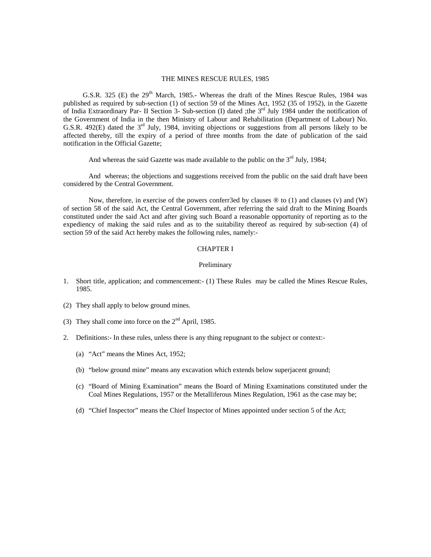#### THE MINES RESCUE RULES, 1985

G.S.R. 325 (E) the  $29<sup>th</sup>$  March, 1985.- Whereas the draft of the Mines Rescue Rules, 1984 was published as required by sub-section (1) of section 59 of the Mines Act, 1952 (35 of 1952), in the Gazette of India Extraordinary Par- II Section 3- Sub-section (I) dated ;the  $3<sup>rd</sup>$  July 1984 under the notification of the Government of India in the then Ministry of Labour and Rehabilitation (Department of Labour) No. G.S.R. 492(E) dated the  $3<sup>rd</sup>$  July, 1984, inviting objections or suggestions from all persons likely to be affected thereby, till the expiry of a period of three months from the date of publication of the said notification in the Official Gazette;

And whereas the said Gazette was made available to the public on the  $3<sup>rd</sup>$  July, 1984;

 And whereas; the objections and suggestions received from the public on the said draft have been considered by the Central Government.

Now, therefore, in exercise of the powers conferr3ed by clauses  $\circledast$  to (1) and clauses (v) and (W) of section 58 of the said Act, the Central Government, after referring the said draft to the Mining Boards constituted under the said Act and after giving such Board a reasonable opportunity of reporting as to the expediency of making the said rules and as to the suitability thereof as required by sub-section (4) of section 59 of the said Act hereby makes the following rules, namely:-

#### CHAPTER I

#### Preliminary

- 1. Short title, application; and commencement:- (1) These Rules may be called the Mines Rescue Rules, 1985.
- (2) They shall apply to below ground mines.
- (3) They shall come into force on the  $2<sup>nd</sup>$  April, 1985.
- 2. Definitions:- In these rules, unless there is any thing repugnant to the subject or context:-
	- (a) "Act" means the Mines Act, 1952;
	- (b) "below ground mine" means any excavation which extends below superjacent ground;
	- (c) "Board of Mining Examination" means the Board of Mining Examinations constituted under the Coal Mines Regulations, 1957 or the Metalliferous Mines Regulation, 1961 as the case may be;
	- (d) "Chief Inspector" means the Chief Inspector of Mines appointed under section 5 of the Act;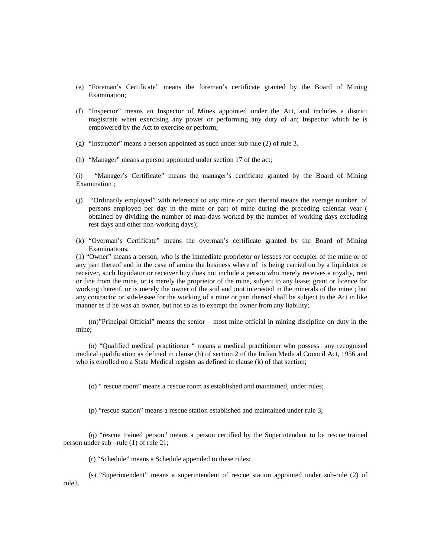- (e) "Foreman's Certificate" means the foreman's certificate granted by the Board of Mining Examination;
- (f) "Inspector" means an Inspector of Mines appointed under the Act, and includes a district magistrate when exercising any power or performing any duty of an; Inspector which he is empowered by the Act to exercise or perform;
- (g) "Instructor" means a person appointed as such under sub-rule (2) of rule 3.
- (h) "Manager" means a person appointed under section 17 of the act;

(i) "Manager's Certificate" means the manager's certificate granted by the Board of Mining Examination ;

- (j) "Ordinarily employed" with reference to any mine or part thereof means the average number of persons employed per day in the mine or part of mine during the preceding calendar year ( obtained by dividing the number of man-days worked by the number of working days excluding rest days and other non-working days);
- (k) "Overman's Certificate" means the overman's certificate granted by the Board of Mining Examinations;

(1) "Owner" means a person; who is the immediate proprietor or lessees /or occupier of the mine or of any part thereof and in the case of amine the business where of is being carried on by a liquidator or receiver, such liquidator or receiver buy does not include a person who merely receives a royalty, rent or fine from the mine, or is merely the proprietor of the mine, subject to any lease; grant or licence for working thereof, or is merely the owner of the soil and ;not interested in the minerals of the mine ; but any contractor or sub-lessee for the working of a mine or part thereof shall be subject to the Act in like manner as if he was an owner, but not so as to exempt the owner from any liability;

(m)"Principal Official" means the senior – most mine official in mining discipline on duty in the mine;

(n) "Qualified medical practitioner " means a medical practitioner who possess any recognised medical qualification as defined in clause (h) of section 2 of the Indian Medical Council Act, 1956 and who is enrolled on a State Medical register as defined in clause (k) of that section;

(o) " rescue room" means a rescue room as established and maintained, under rules;

(p) "rescue station" means a rescue station established and maintained under rule 3;

(q) "rescue trained person" means a person certified by the Superintendent to be rescue trained person under sub –rule (1) of rule 21;

(r) "Schedule" means a Schedule appended to these rules;

(s) "Superintendent" means a superintendent of rescue station appointed under sub-rule (2) of rule3.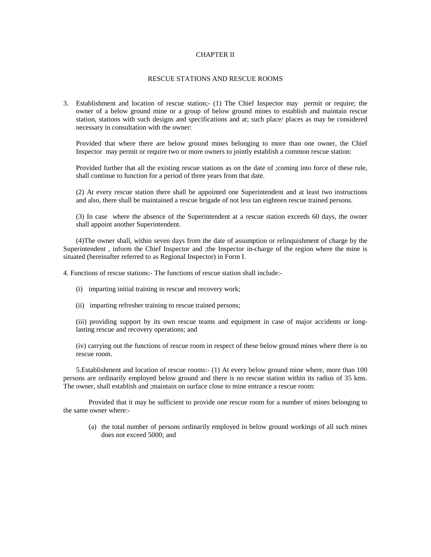### CHAPTER II

#### RESCUE STATIONS AND RESCUE ROOMS

3. Establishment and location of rescue station;- (1) The Chief Inspector may permit or require; the owner of a below ground mine or a group of below ground mines to establish and maintain rescue station, stations with such designs and specifications and at; such place/ places as may be considered necessary in consultation with the owner:

Provided that where there are below ground mines belonging to more than one owner, the Chief Inspector may permit or require two or more owners to jointly establish a common rescue station:

Provided further that all the existing rescue stations as on the date of ;coming into force of these rule, shall continue to function for a period of three years from that date.

(2) At every rescue station there shall be appointed one Superintendent and at least two instructions and also, there shall be maintained a rescue brigade of not less tan eighteen rescue trained persons.

(3) In case where the absence of the Superintendent at a rescue station exceeds 60 days, the owner shall appoint another Superintendent.

(4)The owner shall, within seven days from the date of assumption or relinquishment of charge by the Superintendent , inform the Chief Inspector and ;the Inspector in-charge of the region where the mine is situated (hereinafter referred to as Regional Inspector) in Form I.

4. Functions of rescue stations:- The functions of rescue station shall include:-

- (i) imparting initial training in rescue and recovery work;
- (ii) imparting refresher training to rescue trained persons;

(iii) providing support by its own rescue teams and equipment in case of major accidents or longlasting rescue and recovery operations; and

(iv) carrying out the functions of rescue room in respect of these below ground mines where there is no rescue room.

5.Establishment and location of rescue rooms:- (1) At every below ground mine where, more than 100 persons are ordinarily employed below ground and there is no rescue station within its radius of 35 kms. The owner, shall establish and ;maintain on surface close to mine entrance a rescue room:

 Provided that it may be sufficient to provide one rescue room for a number of mines belonging to the same owner where:-

(a) the total number of persons ordinarily employed in below ground workings of all such mines does not exceed 5000; and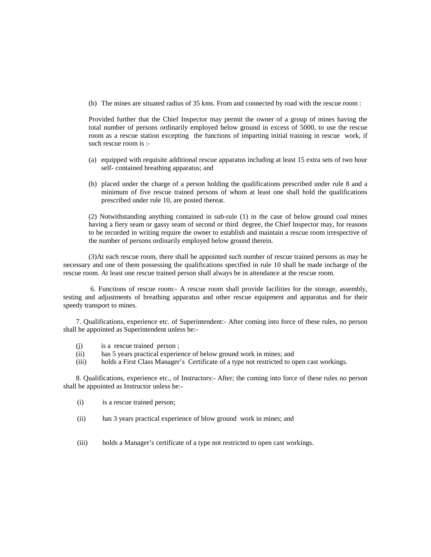(b) The mines are situated radius of 35 kms. From and connected by road with the rescue room :

Provided further that the Chief Inspector may permit the owner of a group of mines having the total number of persons ordinarily employed below ground in excess of 5000, to use the rescue room as a rescue station excepting the functions of imparting initial training in rescue work, if such rescue room is :-

- (a) equipped with requisite additional rescue apparatus including at least 15 extra sets of two hour self- contained breathing apparatus; and
- (b) placed under the charge of a person holding the qualifications prescribed under rule 8 and a minimum of five rescue trained persons of whom at least one shall hold the qualifications prescribed under rule 10, are posted thereat.

(2) Notwithstanding anything contained in sub-rule (1) in the case of below ground coal mines having a fiery seam or gassy seam of second or third degree, the Chief Inspector may, for reasons to be recorded in writing require the owner to establish and maintain a rescue room irrespective of the number of persons ordinarily employed below ground therein.

(3)At each rescue room, there shall be appointed such number of rescue trained persons as may be necessary and one of them possessing the qualifications specified in rule 10 shall be made incharge of the rescue room. At least one rescue trained person shall always be in attendance at the rescue room.

 6. Functions of rescue room:- A rescue room shall provide facilities for the storage, assembly, testing and adjustments of breathing apparatus and other rescue equipment and apparatus and for their speedy transport to mines.

7. Qualifications, experience etc. of Superintendent:- After coming into force of these rules, no person shall be appointed as Superintendent unless he:-

- (j) is a rescue trained person ;
- (ii) has 5 years practical experience of below ground work in mines; and
- (iii) holds a First Class Manager's Certificate of a type not restricted to open cast workings.

8. Qualifications, experience etc., of Instructors:- After; the coming into force of these rules no person shall be appointed as Instructor unless he:-

- (i) is a rescue trained person;
- (ii) has 3 years practical experience of blow ground work in mines; and
- (iii) holds a Manager's certificate of a type not restricted to open cast workings.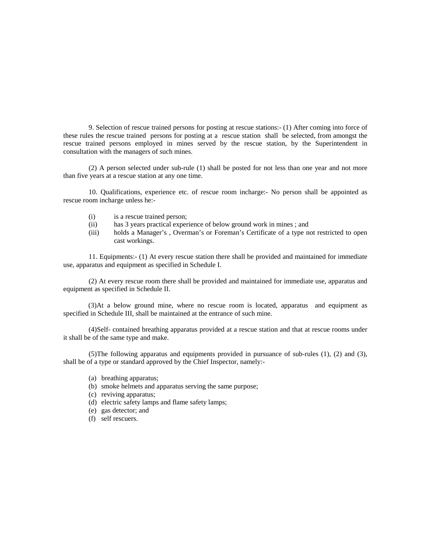9. Selection of rescue trained persons for posting at rescue stations:- (1) After coming into force of these rules the rescue trained persons for posting at a rescue station shall be selected, from amongst the rescue trained persons employed in mines served by the rescue station, by the Superintendent in consultation with the managers of such mines.

(2) A person selected under sub-rule (1) shall be posted for not less than one year and not more than five years at a rescue station at any one time.

10. Qualifications, experience etc. of rescue room incharge:- No person shall be appointed as rescue room incharge unless he:-

- (i) is a rescue trained person;
- (ii) has 3 years practical experience of below ground work in mines ; and
- (iii) holds a Manager's , Overman's or Foreman's Certificate of a type not restricted to open cast workings.

11. Equipments:- (1) At every rescue station there shall be provided and maintained for immediate use, apparatus and equipment as specified in Schedule I.

(2) At every rescue room there shall be provided and maintained for immediate use, apparatus and equipment as specified in Schedule II.

 (3)At a below ground mine, where no rescue room is located, apparatus and equipment as specified in Schedule III, shall be maintained at the entrance of such mine.

(4)Self- contained breathing apparatus provided at a rescue station and that at rescue rooms under it shall be of the same type and make.

(5)The following apparatus and equipments provided in pursuance of sub-rules (1), (2) and (3), shall be of a type or standard approved by the Chief Inspector, namely:-

- (a) breathing apparatus;
- (b) smoke helmets and apparatus serving the same purpose;
- (c) reviving apparatus;
- (d) electric safety lamps and flame safety lamps;
- (e) gas detector; and
- (f) self rescuers.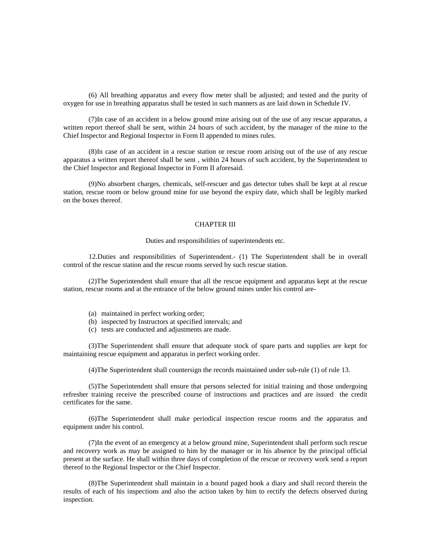(6) All breathing apparatus and every flow meter shall be adjusted; and tested and the purity of oxygen for use in breathing apparatus shall be tested in such manners as are laid down in Schedule IV.

(7)In case of an accident in a below ground mine arising out of the use of any rescue apparatus, a written report thereof shall be sent, within 24 hours of such accident, by the manager of the mine to the Chief Inspector and Regional Inspector in Form II appended to mines rules.

(8)In case of an accident in a rescue station or rescue room arising out of the use of any rescue apparatus a written report thereof shall be sent , within 24 hours of such accident, by the Superintendent to the Chief Inspector and Regional Inspector in Form II aforesaid.

(9)No absorbent charges, chemicals, self-rescuer and gas detector tubes shall be kept at al rescue station, rescue room or below ground mine for use beyond the expiry date, which shall be legibly marked on the boxes thereof.

### CHAPTER III

Duties and responsibilities of superintendents etc.

12.Duties and responsibilities of Superintendent.- (1) The Superintendent shall be in overall control of the rescue station and the rescue rooms served by such rescue station.

(2)The Superintendent shall ensure that all the rescue equipment and apparatus kept at the rescue station, rescue rooms and at the entrance of the below ground mines under his control are-

- (a) maintained in perfect working order;
- (b) inspected by Instructors at specified intervals; and
- (c) tests are conducted and adjustments are made.

(3)The Superintendent shall ensure that adequate stock of spare parts and supplies are kept for maintaining rescue equipment and apparatus in perfect working order.

(4)The Superintendent shall countersign the records maintained under sub-rule (1) of rule 13.

(5)The Superintendent shall ensure that persons selected for initial training and those undergoing refresher training receive the prescribed course of instructions and practices and are issued the credit certificates for the same.

(6)The Superintendent shall make periodical inspection rescue rooms and the apparatus and equipment under his control.

(7)In the event of an emergency at a below ground mine, Superintendent shall perform such rescue and recovery work as may be assigned to him by the manager or in his absence by the principal official present at the surface. He shall within three days of completion of the rescue or recovery work send a report thereof to the Regional Inspector or the Chief Inspector.

(8)The Superintendent shall maintain in a bound paged book a diary and shall record therein the results of each of his inspections and also the action taken by him to rectify the defects observed during inspection.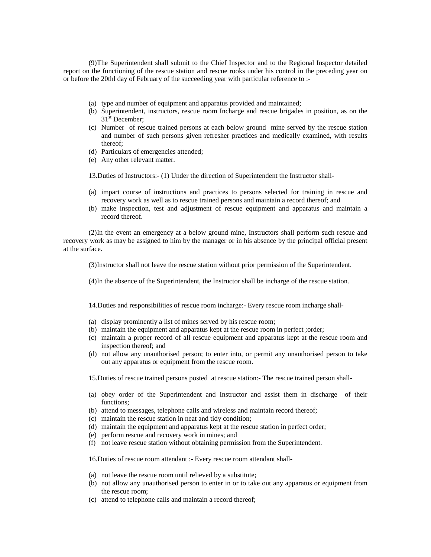(9)The Superintendent shall submit to the Chief Inspector and to the Regional Inspector detailed report on the functioning of the rescue station and rescue rooks under his control in the preceding year on or before the 20thl day of February of the succeeding year with particular reference to :-

- (a) type and number of equipment and apparatus provided and maintained;
- (b) Superintendent, instructors, rescue room Incharge and rescue brigades in position, as on the 31<sup>st</sup> December;
- (c) Number of rescue trained persons at each below ground mine served by the rescue station and number of such persons given refresher practices and medically examined, with results thereof;
- (d) Particulars of emergencies attended;
- (e) Any other relevant matter.

13.Duties of Instructors:- (1) Under the direction of Superintendent the Instructor shall-

- (a) impart course of instructions and practices to persons selected for training in rescue and recovery work as well as to rescue trained persons and maintain a record thereof; and
- (b) make inspection, test and adjustment of rescue equipment and apparatus and maintain a record thereof.

(2)In the event an emergency at a below ground mine, Instructors shall perform such rescue and recovery work as may be assigned to him by the manager or in his absence by the principal official present at the surface.

(3)Instructor shall not leave the rescue station without prior permission of the Superintendent.

(4)In the absence of the Superintendent, the Instructor shall be incharge of the rescue station.

14.Duties and responsibilities of rescue room incharge:- Every rescue room incharge shall-

- (a) display prominently a list of mines served by his rescue room;
- (b) maintain the equipment and apparatus kept at the rescue room in perfect ;order;
- (c) maintain a proper record of all rescue equipment and apparatus kept at the rescue room and inspection thereof; and
- (d) not allow any unauthorised person; to enter into, or permit any unauthorised person to take out any apparatus or equipment from the rescue room.

15.Duties of rescue trained persons posted at rescue station:- The rescue trained person shall-

- (a) obey order of the Superintendent and Instructor and assist them in discharge of their functions;
- (b) attend to messages, telephone calls and wireless and maintain record thereof;
- (c) maintain the rescue station in neat and tidy condition;
- (d) maintain the equipment and apparatus kept at the rescue station in perfect order;
- (e) perform rescue and recovery work in mines; and
- (f) not leave rescue station without obtaining permission from the Superintendent.

16.Duties of rescue room attendant :- Every rescue room attendant shall-

- (a) not leave the rescue room until relieved by a substitute;
- (b) not allow any unauthorised person to enter in or to take out any apparatus or equipment from the rescue room;
- (c) attend to telephone calls and maintain a record thereof;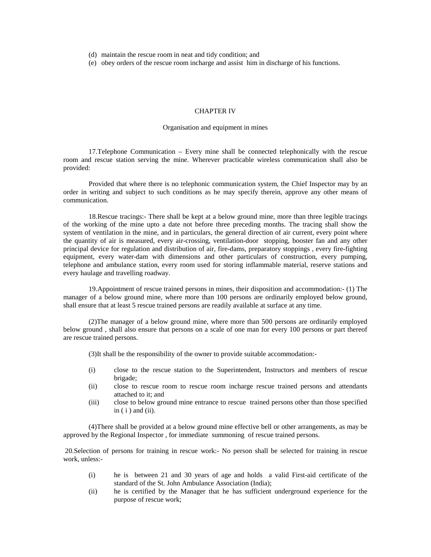(d) maintain the rescue room in neat and tidy condition; and

(e) obey orders of the rescue room incharge and assist him in discharge of his functions.

#### CHAPTER IV

### Organisation and equipment in mines

17.Telephone Communication – Every mine shall be connected telephonically with the rescue room and rescue station serving the mine. Wherever practicable wireless communication shall also be provided:

 Provided that where there is no telephonic communication system, the Chief Inspector may by an order in writing and subject to such conditions as he may specify therein, approve any other means of communication.

18.Rescue tracings:- There shall be kept at a below ground mine, more than three legible tracings of the working of the mine upto a date not before three preceding months. The tracing shall show the system of ventilation in the mine, and in particulars, the general direction of air current, every point where the quantity of air is measured, every air-crossing, ventilation-door stopping, booster fan and any other principal device for regulation and distribution of air, fire-dams, preparatory stoppings , every fire-fighting equipment, every water-dam with dimensions and other particulars of construction, every pumping, telephone and ambulance station, every room used for storing inflammable material, reserve stations and every haulage and travelling roadway.

19.Appointment of rescue trained persons in mines, their disposition and accommodation:- (1) The manager of a below ground mine, where more than 100 persons are ordinarily employed below ground, shall ensure that at least 5 rescue trained persons are readily available at surface at any time.

(2)The manager of a below ground mine, where more than 500 persons are ordinarily employed below ground , shall also ensure that persons on a scale of one man for every 100 persons or part thereof are rescue trained persons.

(3)It shall be the responsibility of the owner to provide suitable accommodation:-

- (i) close to the rescue station to the Superintendent, Instructors and members of rescue brigade;
- (ii) close to rescue room to rescue room incharge rescue trained persons and attendants attached to it; and
- (iii) close to below ground mine entrance to rescue trained persons other than those specified in  $(i)$  and  $(ii)$ .

(4)There shall be provided at a below ground mine effective bell or other arrangements, as may be approved by the Regional Inspector , for immediate summoning of rescue trained persons.

 20.Selection of persons for training in rescue work:- No person shall be selected for training in rescue work, unless:-

- (i) he is between 21 and 30 years of age and holds a valid First-aid certificate of the standard of the St. John Ambulance Association (India);
- (ii) he is certified by the Manager that he has sufficient underground experience for the purpose of rescue work;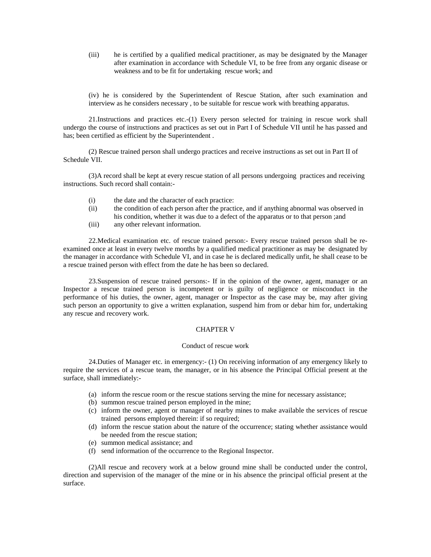(iii) he is certified by a qualified medical practitioner, as may be designated by the Manager after examination in accordance with Schedule VI, to be free from any organic disease or weakness and to be fit for undertaking rescue work; and

(iv) he is considered by the Superintendent of Rescue Station, after such examination and interview as he considers necessary , to be suitable for rescue work with breathing apparatus.

21.Instructions and practices etc.-(1) Every person selected for training in rescue work shall undergo the course of instructions and practices as set out in Part I of Schedule VII until he has passed and has; been certified as efficient by the Superintendent .

(2) Rescue trained person shall undergo practices and receive instructions as set out in Part II of Schedule VII.

(3)A record shall be kept at every rescue station of all persons undergoing practices and receiving instructions. Such record shall contain:-

- (i) the date and the character of each practice:
- (ii) the condition of each person after the practice, and if anything abnormal was observed in his condition, whether it was due to a defect of the apparatus or to that person ;and
- (iii) any other relevant information.

22.Medical examination etc. of rescue trained person:- Every rescue trained person shall be reexamined once at least in every twelve months by a qualified medical practitioner as may be designated by the manager in accordance with Schedule VI, and in case he is declared medically unfit, he shall cease to be a rescue trained person with effect from the date he has been so declared.

23.Suspension of rescue trained persons:- If in the opinion of the owner, agent, manager or an Inspector a rescue trained person is incompetent or is guilty of negligence or misconduct in the performance of his duties, the owner, agent, manager or Inspector as the case may be, may after giving such person an opportunity to give a written explanation, suspend him from or debar him for, undertaking any rescue and recovery work.

### CHAPTER V

#### Conduct of rescue work

24.Duties of Manager etc. in emergency:- (1) On receiving information of any emergency likely to require the services of a rescue team, the manager, or in his absence the Principal Official present at the surface, shall immediately:-

- (a) inform the rescue room or the rescue stations serving the mine for necessary assistance;
- (b) summon rescue trained person employed in the mine;
- (c) inform the owner, agent or manager of nearby mines to make available the services of rescue trained persons employed therein: if so required;
- (d) inform the rescue station about the nature of the occurrence; stating whether assistance would be needed from the rescue station;
- (e) summon medical assistance; and
- (f) send information of the occurrence to the Regional Inspector.

(2)All rescue and recovery work at a below ground mine shall be conducted under the control, direction and supervision of the manager of the mine or in his absence the principal official present at the surface.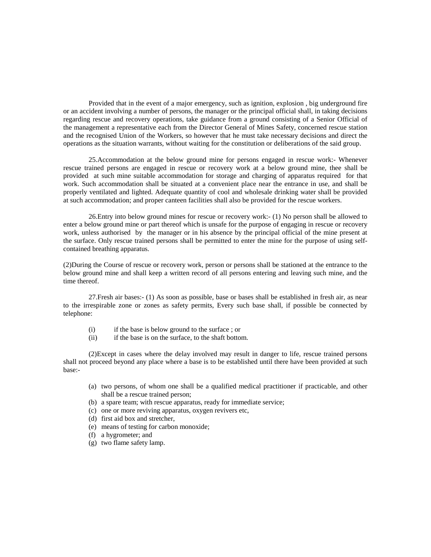Provided that in the event of a major emergency, such as ignition, explosion , big underground fire or an accident involving a number of persons, the manager or the principal official shall, in taking decisions regarding rescue and recovery operations, take guidance from a ground consisting of a Senior Official of the management a representative each from the Director General of Mines Safety, concerned rescue station and the recognised Union of the Workers, so however that he must take necessary decisions and direct the operations as the situation warrants, without waiting for the constitution or deliberations of the said group.

25.Accommodation at the below ground mine for persons engaged in rescue work:- Whenever rescue trained persons are engaged in rescue or recovery work at a below ground mine, thee shall be provided at such mine suitable accommodation for storage and charging of apparatus required for that work. Such accommodation shall be situated at a convenient place near the entrance in use, and shall be properly ventilated and lighted. Adequate quantity of cool and wholesale drinking water shall be provided at such accommodation; and proper canteen facilities shall also be provided for the rescue workers.

26.Entry into below ground mines for rescue or recovery work:- (1) No person shall be allowed to enter a below ground mine or part thereof which is unsafe for the purpose of engaging in rescue or recovery work, unless authorised by the manager or in his absence by the principal official of the mine present at the surface. Only rescue trained persons shall be permitted to enter the mine for the purpose of using selfcontained breathing apparatus.

(2)During the Course of rescue or recovery work, person or persons shall be stationed at the entrance to the below ground mine and shall keep a written record of all persons entering and leaving such mine, and the time thereof.

27.Fresh air bases:- (1) As soon as possible, base or bases shall be established in fresh air, as near to the irrespirable zone or zones as safety permits, Every such base shall, if possible be connected by telephone:

- (i) if the base is below ground to the surface ; or
- (ii) if the base is on the surface, to the shaft bottom.

(2)Except in cases where the delay involved may result in danger to life, rescue trained persons shall not proceed beyond any place where a base is to be established until there have been provided at such base:-

- (a) two persons, of whom one shall be a qualified medical practitioner if practicable, and other shall be a rescue trained person;
- (b) a spare team; with rescue apparatus, ready for immediate service;
- (c) one or more reviving apparatus, oxygen revivers etc,
- (d) first aid box and stretcher,
- (e) means of testing for carbon monoxide;
- (f) a hygrometer; and
- (g) two flame safety lamp.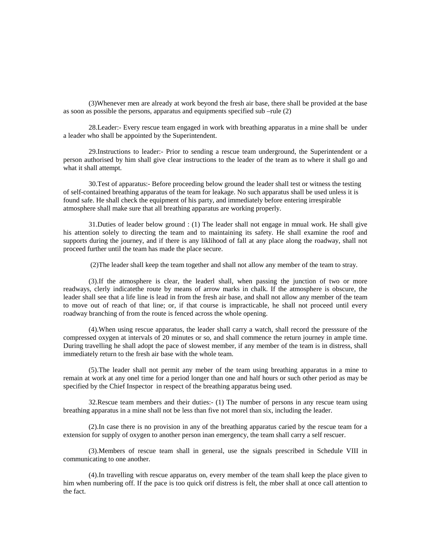(3)Whenever men are already at work beyond the fresh air base, there shall be provided at the base as soon as possible the persons, apparatus and equipments specified sub –rule  $(2)$ 

28.Leader:- Every rescue team engaged in work with breathing apparatus in a mine shall be under a leader who shall be appointed by the Superintendent.

29.Instructions to leader:- Prior to sending a rescue team underground, the Superintendent or a person authorised by him shall give clear instructions to the leader of the team as to where it shall go and what it shall attempt.

30.Test of apparatus:- Before proceeding below ground the leader shall test or witness the testing of self-contained breathing apparatus of the team for leakage. No such apparatus shall be used unless it is found safe. He shall check the equipment of his party, and immediately before entering irrespirable atmosphere shall make sure that all breathing apparatus are working properly.

31.Duties of leader below ground : (1) The leader shall not engage in mnual work. He shall give his attention solely to directing the team and to maintaining its safety. He shall examine the roof and supports during the journey, and if there is any liklihood of fall at any place along the roadway, shall not proceed further until the team has made the place secure.

(2)The leader shall keep the team together and shall not allow any member of the team to stray.

(3).If the atmosphere is clear, the leaderl shall, when passing the junction of two or more readways, clerly indicatethe route by means of arrow marks in chalk. If the atmosphere is obscure, the leader shall see that a life line is lead in from the fresh air base, and shall not allow any member of the team to move out of reach of that line; or, if that course is impracticable, he shall not proceed until every roadway branching of from the route is fenced across the whole opening.

(4).When using rescue apparatus, the leader shall carry a watch, shall record the presssure of the compressed oxygen at intervals of 20 minutes or so, and shall commence the return journey in ample time. During travelling he shall adopt the pace of slowest member, if any member of the team is in distress, shall immediately return to the fresh air base with the whole team.

(5).The leader shall not permit any meber of the team using breathing apparatus in a mine to remain at work at any onel time for a period longer than one and half hours or such other period as may be specified by the Chief Inspector in respect of the breathing apparatus being used.

32.Rescue team members and their duties:- (1) The number of persons in any rescue team using breathing apparatus in a mine shall not be less than five not morel than six, including the leader.

(2).In case there is no provision in any of the breathing apparatus caried by the rescue team for a extension for supply of oxygen to another person inan emergency, the team shall carry a self rescuer.

(3).Members of rescue team shall in general, use the signals prescribed in Schedule VIII in communicating to one another.

(4).In travelling with rescue apparatus on, every member of the team shall keep the place given to him when numbering off. If the pace is too quick orif distress is felt, the mber shall at once call attention to the fact.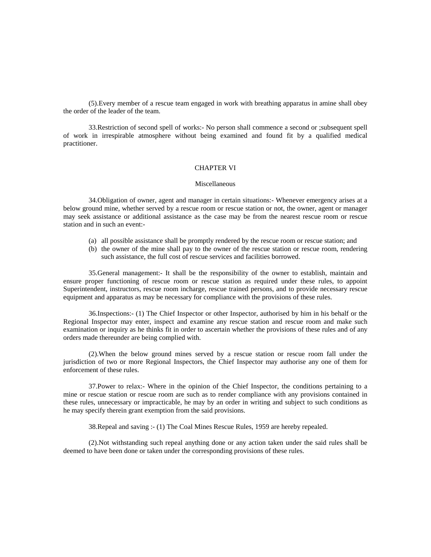(5).Every member of a rescue team engaged in work with breathing apparatus in amine shall obey the order of the leader of the team.

33.Restriction of second spell of works:- No person shall commence a second or ;subsequent spell of work in irrespirable atmosphere without being examined and found fit by a qualified medical practitioner.

### CHAPTER VI

#### Miscellaneous

34.Obligation of owner, agent and manager in certain situations:- Whenever emergency arises at a below ground mine, whether served by a rescue room or rescue station or not, the owner, agent or manager may seek assistance or additional assistance as the case may be from the nearest rescue room or rescue station and in such an event:-

- (a) all possible assistance shall be promptly rendered by the rescue room or rescue station; and
- (b) the owner of the mine shall pay to the owner of the rescue station or rescue room, rendering such assistance, the full cost of rescue services and facilities borrowed.

35.General management:- It shall be the responsibility of the owner to establish, maintain and ensure proper functioning of rescue room or rescue station as required under these rules, to appoint Superintendent, instructors, rescue room incharge, rescue trained persons, and to provide necessary rescue equipment and apparatus as may be necessary for compliance with the provisions of these rules.

36.Inspections:- (1) The Chief Inspector or other Inspector, authorised by him in his behalf or the Regional Inspector may enter, inspect and examine any rescue station and rescue room and make such examination or inquiry as he thinks fit in order to ascertain whether the provisions of these rules and of any orders made thereunder are being complied with.

(2).When the below ground mines served by a rescue station or rescue room fall under the jurisdiction of two or more Regional Inspectors, the Chief Inspector may authorise any one of them for enforcement of these rules.

37.Power to relax:- Where in the opinion of the Chief Inspector, the conditions pertaining to a mine or rescue station or rescue room are such as to render compliance with any provisions contained in these rules, unnecessary or impracticable, he may by an order in writing and subject to such conditions as he may specify therein grant exemption from the said provisions.

38.Repeal and saving :- (1) The Coal Mines Rescue Rules, 1959 are hereby repealed.

(2).Not withstanding such repeal anything done or any action taken under the said rules shall be deemed to have been done or taken under the corresponding provisions of these rules.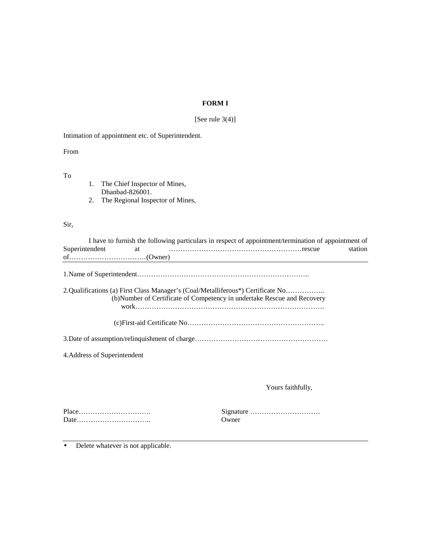## **FORM I**

# [See rule 3(4)]

Intimation of appointment etc. of Superintendent.

From

To

1. The Chief Inspector of Mines, Dhanbad-826001. 2. The Regional Inspector of Mines,

### Sir,

|                                                                                 | I have to furnish the following particulars in respect of appointment/termination of appointment of |
|---------------------------------------------------------------------------------|-----------------------------------------------------------------------------------------------------|
| Superintendent<br>at                                                            | station                                                                                             |
|                                                                                 |                                                                                                     |
|                                                                                 |                                                                                                     |
| 2.Qualifications (a) First Class Manager's (Coal/Metalliferous*) Certificate No | (b)Number of Certificate of Competency in undertake Rescue and Recovery                             |
|                                                                                 |                                                                                                     |
|                                                                                 |                                                                                                     |
| 4. Address of Superintendent                                                    |                                                                                                     |
|                                                                                 |                                                                                                     |
|                                                                                 | Yours faithfully,                                                                                   |
|                                                                                 | Signature<br>Owner                                                                                  |

• Delete whatever is not applicable.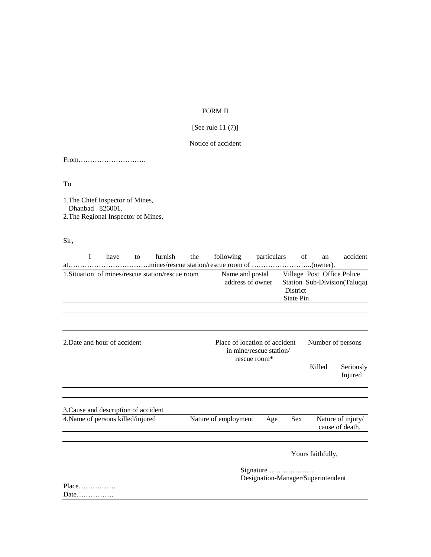## FORM II

# [See rule 11 (7)]

## Notice of accident

From………………………..

To

1.The Chief Inspector of Mines, Dhanbad –826001. 2.The Regional Inspector of Mines,

Sir,

|                              | T | have                                 | to | furnish                                                                  | the | following particulars               |                   |                                                 | of<br>an | accident                                                   |  |
|------------------------------|---|--------------------------------------|----|--------------------------------------------------------------------------|-----|-------------------------------------|-------------------|-------------------------------------------------|----------|------------------------------------------------------------|--|
|                              |   |                                      |    | 1. Situation of mines/rescue station/rescue room                         |     | Name and postal<br>address of owner |                   | <b>District</b><br><b>State Pin</b>             |          | Village Post Office Police<br>Station Sub-Division(Taluqa) |  |
|                              |   |                                      |    |                                                                          |     |                                     |                   |                                                 |          |                                                            |  |
| 2. Date and hour of accident |   |                                      |    | Place of location of accident<br>in mine/rescue station/<br>rescue room* |     |                                     | Number of persons |                                                 |          |                                                            |  |
|                              |   |                                      |    |                                                                          |     |                                     |                   |                                                 | Killed   | Seriously<br>Injured                                       |  |
|                              |   | 3. Cause and description of accident |    |                                                                          |     |                                     |                   |                                                 |          |                                                            |  |
|                              |   | 4. Name of persons killed/injured    |    |                                                                          |     | Nature of employment                | Age               | Sex                                             |          | Nature of injury/<br>cause of death.                       |  |
|                              |   |                                      |    |                                                                          |     |                                     |                   | Yours faithfully,                               |          |                                                            |  |
| Place                        |   |                                      |    |                                                                          |     |                                     |                   | Signature<br>Designation-Manager/Superintendent |          |                                                            |  |

Date…………….